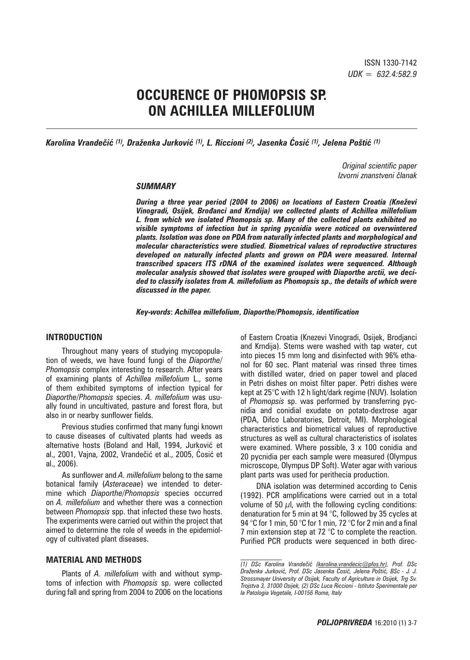# **OCCURENCE OF PHOMOPSIS SP. ON ACHILLEA MILLEFOLIUM**

*Karolina Vrandečić (1), Draženka Jurković (1), L. Riccioni (2), Jasenka Ćosić (1), Jelena Poštić (1)*

*Original scientific paper Izvorni znanstveni ~lanak*

#### *SUMMARY*

*During a three year period (2004 to 2006) on locations of Eastern Croatia (Kneževi Vinogradi, Osijek, Brođanci and Krndija) we collected plants of Achillea millefolium L. from which we isolated Phomopsis sp. Many of the collected plants exhibited no visible symptoms of infection but in spring pycnidia were noticed on overwintered plants. Isolation was done on PDA from naturally infected plants and morphological and molecular characteristics were studied. Biometrical values of reproductive structures developed on naturally infected plants and grown on PDA were measured. Internal transcribed spacers ITS rDNA of the examined isolates were sequenced. Although molecular analysis showed that isolates were grouped with Diaporthe arctii, we decided to classify isolates from A. millefolium as Phomopsis sp., the details of which were discussed in the paper.*

#### *Key-words***:** *Achillea millefolium***,** *Diaporthe/Phomopsis***,** *identification*

#### **INTRODUCTION**

Throughout many years of studying mycopopulation of weeds, we have found fungi of the *Diaporthe/ Phomopsis* complex interesting to research. After years of examining plants of *Achillea millefolium* L., some of them exhibited symptoms of infection typical for *Diaporthe*/*Phomopsis* species. *A. millefolium* was usually found in uncultivated, pasture and forest flora, but also in or nearby sunflower fields.

Previous studies confirmed that many fungi known to cause diseases of cultivated plants had weeds as alternative hosts (Boland and Hall, 1994, Jurković et al., 2001, Vajna, 2002, Vrandečić et al., 2005, Ćosić et al., 2006).

As sunflower and *A. millefolium* belong to the same botanical family (*Asteraceae*) we intended to determine which *Diaporthe/Phomopsis* species occurred on *A. millefolium* and whether there was a connection between *Phomopsis* spp. that infected these two hosts. The experiments were carried out within the project that aimed to determine the role of weeds in the epidemiology of cultivated plant diseases.

#### **MATERIAL AND METHODS**

Plants of *A. millefolium* with and without symptoms of infection with *Phomopsis* sp. were collected during fall and spring from 2004 to 2006 on the locations

of Eastern Croatia (Knezevi Vinogradi, Osijek, Brodjanci and Krndija). Stems were washed with tap water, cut into pieces 15 mm long and disinfected with 96% ethanol for 60 sec. Plant material was rinsed three times with distilled water, dried on paper towel and placed in Petri dishes on moist filter paper. Petri dishes were kept at 25°C with 12 h light/dark regime (NUV). Isolation of *Phomopsis* sp. was performed by transferring pycnidia and conidial exudate on potato-dextrose agar (PDA, Difco Laboratories, Detroit, MI). Morphological characteristics and biometrical values of reproductive structures as well as cultural characteristics of isolates were examined. Where possible, 3 x 100 conidia and 20 pycnidia per each sample were measured (Olympus microscope, Olympus DP Soft). Water agar with various plant parts was used for perithecia production.

DNA isolation was determined according to Cenis (1992). PCR amplifications were carried out in a total volume of 50  $\mu$ l, with the following cycling conditions: denaturation for 5 min at 94 °C, followed by 35 cycles at 94 °C for 1 min, 50 °C for 1 min, 72 °C for 2 min and a final 7 min extension step at 72 °C to complete the reaction. Purified PCR products were sequenced in both direc-

*<sup>(1)</sup> DSc Karolina Vrande~i} (karolina.vrandecic@pfos.hr), Prof. DSc Draženka Jurković, Prof. DSc Jasenka Ćosić, Jelena Poštić, BSc - J. J. Strossmayer University of Osijek, Faculty of Agriculture in Osijek, Trg Sv. Trojstva 3, 31000 Osijek, (2) DSc Luca Riccioni - Istituto Sperimentale per la Patologia Vegetale, I-00156 Rome, Italy*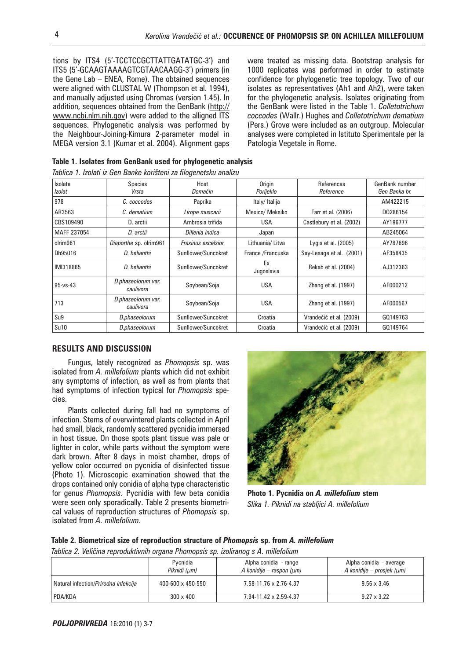tions by ITS4 (5'-TCCTCCGCTTATTGATATGC-3') and ITS5 (5'-GCAAGTAAAAGTCGTAACAAGG-3') primers (in the Gene Lab – ENEA, Rome). The obtained sequences were aligned with CLUSTAL W (Thompson et al. 1994), and manually adjusted using Chromas (version 1.45). In addition, sequences obtained from the GenBank (http:// www.ncbi.nlm.nih.gov) were added to the alligned ITS sequences. Phylogenetic analysis was performed by the Neighbour-Joining-Kimura 2-parameter model in MEGA version 3.1 (Kumar et al. 2004). Alignment gaps

were treated as missing data. Bootstrap analysis for 1000 replicates was performed in order to estimate confidence for phylogenetic tree topology. Two of our isolates as representatives (Ah1 and Ah2), were taken for the phylogenetic analysis. Isolates originating from the GenBank were listed in the Table 1. *Colletotrichum coccodes* (Wallr.) Hughes and *Colletotrichum dematium* (Pers.) Grove were included as an outgroup. Molecular analyses were completed in Istituto Sperimentale per la Patologia Vegetale in Rome.

**Table 1. Isolates from GenBank used for phylogenetic analysis**

|  |  |  |  |  |  | Tablica 1. Izolati iz Gen Banke korišteni za filogenetsku analizu |
|--|--|--|--|--|--|-------------------------------------------------------------------|
|--|--|--|--|--|--|-------------------------------------------------------------------|

| Isolate<br>Izolat | <b>Species</b><br>Vrsta         | Host<br>Domaćin           | Origin<br>Porijeklo | References<br>Reference  | GenBank number<br>Gen Banka br. |
|-------------------|---------------------------------|---------------------------|---------------------|--------------------------|---------------------------------|
| 978               | C. coccodes                     | Paprika                   | Italy/Italija       |                          | AM422215                        |
| AR3563            | C. dematium                     | Lirope muscarii           | Mexico/ Meksiko     | Farr et al. (2006)       | DQ286154                        |
| CBS109490         | D. arctii                       | Ambrosia trifida          | <b>USA</b>          | Castlebury et al. (2002) | AY196777                        |
| MAFF 237054       | D. arctii                       | Dillenia indica           | Japan               |                          | AB245064                        |
| olrim961          | Diaporthe sp. olrim961          | <b>Fraxinus excelsior</b> | Lithuania/ Litva    | Lygis et al. (2005)      | AY787696                        |
| Dh95016           | D. helianthi                    | Sunflower/Suncokret       | France /Francuska   | Say-Lesage et al. (2001) | AF358435                        |
| IMI318865         | D. helianthi                    | Sunflower/Suncokret       | Ex<br>Jugoslavia    | Rekab et al. (2004)      | AJ312363                        |
| $95 - vs - 43$    | D.phaseolorum var.<br>caulivora | Soybean/Soja              | <b>USA</b>          | Zhang et al. (1997)      | AF000212                        |
| 713               | D.phaseolorum var.<br>caulivora | Soybean/Soja              | <b>USA</b>          | Zhang et al. (1997)      | AF000567                        |
| Su9               | D.phaseolorum                   | Sunflower/Suncokret       | Croatia             | Vrandečić et al. (2009)  | GQ149763                        |
| Su10              | D.phaseolorum                   | Sunflower/Suncokret       | Croatia             | Vrandečić et al. (2009)  | GQ149764                        |

## **RESULTS AND DISCUSSION**

Fungus, lately recognized as *Phomopsis* sp. was isolated from *A. millefolium* plants which did not exhibit any symptoms of infection, as well as from plants that had symptoms of infection typical for *Phomopsis* species.

Plants collected during fall had no symptoms of infection. Stems of overwintered plants collected in April had small, black, randomly scattered pycnidia immersed in host tissue. On those spots plant tissue was pale or lighter in color, while parts without the symptom were dark brown. After 8 days in moist chamber, drops of yellow color occurred on pycnidia of disinfected tissue (Photo 1). Microscopic examination showed that the drops contained only conidia of alpha type characteristic for genus *Phomopsis*. Pycnidia with few beta conidia were seen only sporadically. Table 2 presents biometrical values of reproduction structures of *Phomopsis* sp. isolated from *A. millefolium*.



**Photo 1. Pycnidia on** *A. millefolium* **stem** *Slika 1. Piknidi na stabljici A. millefolium*

## **Table 2. Biometrical size of reproduction structure of** *Phomopsis* **sp. from** *A. millefolium*

*Tablica 2. Veličina reproduktivnih organa Phomopsis sp. izoliranog s A. millefolium* 

|                                      | Pycnidia<br>Piknidi (um)     | Alpha conidia - range<br>A konidije – raspon ( $\mu$ m) | Alpha conidia - average<br>A konidije – prosjek ( $\mu$ m) |
|--------------------------------------|------------------------------|---------------------------------------------------------|------------------------------------------------------------|
| Natural infection/Prirodna infekcija | $400 - 600 \times 450 - 550$ | 7.58-11.76 x 2.76-4.37                                  | $9.56 \times 3.46$                                         |
| PDA/KDA                              | $300 \times 400$             | 7.94-11.42 x 2.59-4.37                                  | $9.27 \times 3.22$                                         |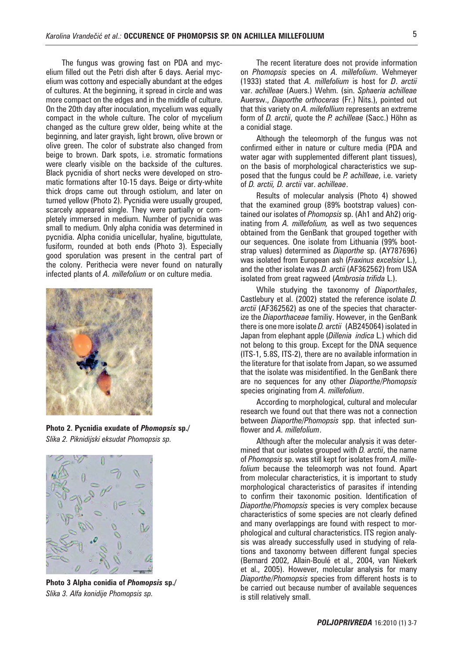The fungus was growing fast on PDA and mycelium filled out the Petri dish after 6 days. Aerial mycelium was cottony and especially abundant at the edges of cultures. At the beginning, it spread in circle and was more compact on the edges and in the middle of culture. On the 20th day after inoculation, mycelium was equally compact in the whole culture. The color of mycelium changed as the culture grew older, being white at the beginning, and later grayish, light brown, olive brown or olive green. The color of substrate also changed from beige to brown. Dark spots, i.e. stromatic formations were clearly visible on the backside of the cultures. Black pycnidia of short necks were developed on stromatic formations after 10-15 days. Beige or dirty-white thick drops came out through ostiolum, and later on turned yellow (Photo 2). Pycnidia were usually grouped, scarcely appeared single. They were partially or completely immersed in medium. Number of pycnidia was small to medium. Only alpha conidia was determined in pycnidia. Alpha conidia unicellular, hyaline, biguttulate, fusiform, rounded at both ends (Photo 3). Especially good sporulation was present in the central part of the colony. Perithecia were never found on naturally infected plants of *A. millefolium* or on culture media.



**Photo 2. Pycnidia exudate of** *Phomopsis* **sp./**  *Slika 2. Piknidijski eksudat Phomopsis sp.*



**Photo 3 Alpha conidia of** *Phomopsis* **sp./** *Slika 3. Alfa konidije Phomopsis sp.* 

The recent literature does not provide information on *Phomopsis* species on *A. millefolium*. Wehmeyer (1933) stated that *A. millefolium* is host for *D*. *arctii*  var. *achilleae* (Auers.) Wehm. (sin. *Sphaeria achilleae*  Auersw., *Diaporthe orthoceras* (Fr.) Nits.), pointed out that this variety on *A. milefollium* represents an extreme form of *D. arctii*, quote the *P. achilleae* (Sacc.) Höhn as a conidial stage.

Although the teleomorph of the fungus was not confirmed either in nature or culture media (PDA and water agar with supplemented different plant tissues), on the basis of morphological characteristics we supposed that the fungus could be *P. achilleae*, i.e. variety of *D. arctii, D. arctii* var. *achilleae*.

Results of molecular analysis (Photo 4) showed that the examined group (89% bootstrap values) contained our isolates of *Phomopsis* sp. (Ah1 and Ah2) originating from *A. millefolium,* as well as two sequences obtained from the GenBank that grouped together with our sequences. One isolate from Lithuania (99% bootstrap values) determined as *Diaporthe* sp. (AY787696) was isolated from European ash (*Fraxinus excelsior* L.), and the other isolate was *D. arctii* (AF362562) from USA isolated from great ragweed (*Ambrosia trifida* L.).

While studying the taxonomy of *Diaporthales*, Castlebury et al. (2002) stated the reference isolate *D. arctii* (AF362562) as one of the species that characterize the *Diaporthaceae* familiy. However, in the GenBank there is one more isolate *D. arctii* (AB245064) isolated in Japan from elephant apple (*Dillenia indica* L.) which did not belong to this group. Except for the DNA sequence (ITS-1, 5.8S, ITS-2), there are no available information in the literature for that isolate from Japan, so we assumed that the isolate was misidentified. In the GenBank there are no sequences for any other *Diaporthe/Phomopsis* species originating from *A. millefolium*.

According to morphological, cultural and molecular research we found out that there was not a connection between *Diaporthe*/*Phomopsis* spp. that infected sunflower and *A. millefolium*.

Although after the molecular analysis it was determined that our isolates grouped with *D. arctii*, the name of *Phomopsis* sp. was still kept for isolates from *A. millefolium* because the teleomorph was not found. Apart from molecular characteristics, it is important to study morphological characteristics of parasites if intending to confirm their taxonomic position. Identification of *Diaporthe/Phomopsis* species is very complex because characteristics of some species are not clearly defined and many overlappings are found with respect to morphological and cultural characteristics. ITS region analysis was already successfully used in studying of relations and taxonomy between different fungal species (Bernard 2002, Allain-Boulé et al., 2004, van Niekerk et al., 2005). However, molecular analysis for many *Diaporthe/Phomopsis* species from different hosts is to be carried out because number of available sequences is still relatively small.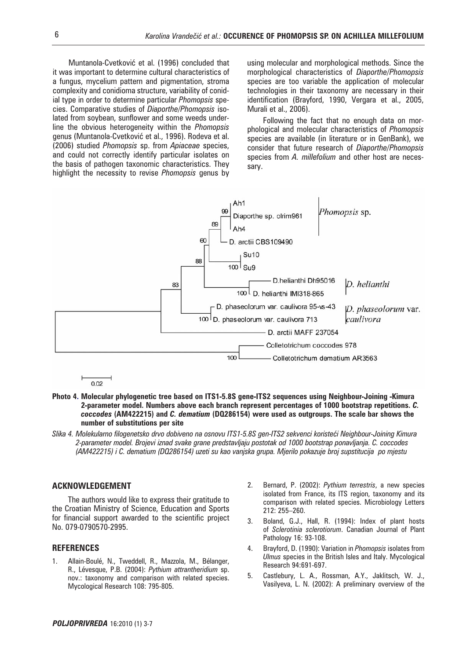Muntanola-Cvetković et al. (1996) concluded that it was important to determine cultural characteristics of a fungus, mycelium pattern and pigmentation, stroma complexity and conidioma structure, variability of conidial type in order to determine particular *Phomopsis* species. Comparative studies of *Diaporthe/Phomopsis* isolated from soybean, sunflower and some weeds underline the obvious heterogeneity within the *Phomopsis* genus (Muntanola-Cvetković et al., 1996). Rodeva et al. (2006) studied *Phomopsis* sp. from *Apiaceae* species, and could not correctly identify particular isolates on the basis of pathogen taxonomic characteristics. They highlight the necessity to revise *Phomopsis* genus by using molecular and morphological methods. Since the morphological characteristics of *Diaporthe/Phomopsis* species are too variable the application of molecular technologies in their taxonomy are necessary in their identification (Brayford, 1990, Vergara et al., 2005, Murali et al., 2006).

Following the fact that no enough data on morphological and molecular characteristics of *Phomopsis* species are available (in literature or in GenBank), we consider that future research of *Diaporthe*/*Phomopsis* species from *A. millefolium* and other host are necessary.



 $0.02$ 

- **Photo 4. Molecular phylogenetic tree based on ITS1-5.8S gene-ITS2 sequences using Neighbour-Joining -Kimura 2-parameter model. Numbers above each branch represent percentages of 1000 bootstrap repetitions.** *C. coccodes* **(AM422215) and** *C. dematium* **(DQ286154) were used as outgroups. The scale bar shows the number of substitutions per site**
- Slika 4. Molekularno filogenetsko drvo dobiveno na osnovu ITS1-5.8S gen-ITS2 sekvenci koristeći Neighbour-Joining Kimura *2-parameter model. Brojevi iznad svake grane predstavljaju postotak od 1000 bootstrap ponavljanja. C. coccodes (AM422215) i C. dematium (DQ286154) uzeti su kao vanjska grupa. Mjerilo pokazuje broj supstitucija po mjestu*

## **ACKNOWLEDGEMENT**

The authors would like to express their gratitude to the Croatian Ministry of Science, Education and Sports for financial support awarded to the scientific project No. 079-0790570-2995.

## **REFERENCES**

- 1. Allain-Boulé, N., Tweddell, R., Mazzola, M., Bélanger, R., Lévesque, P.B. (2004): *Pythium attrantheridium* sp. nov.: taxonomy and comparison with related species. Mycological Research 108: 795-805.
- 2. Bernard, P. (2002): *Pythium terrestris*, a new species isolated from France, its ITS region, taxonomy and its comparison with related species. Microbiology Letters 212: 255–260.
- 3. Boland, G.J., Hall, R. (1994): Index of plant hosts of *Sclerotinia sclerotiorum*. Canadian Journal of Plant Pathology 16: 93-108.
- 4. Brayford, D. (1990): Variation in *Phomopsis* isolates from *Ulmus* species in the British Isles and Italy. Mycological Research 94:691-697.
- 5. Castlebury, L. A., Rossman, A.Y., Jaklitsch, W. J., Vasilyeva, L. N. (2002): A preliminary overview of the